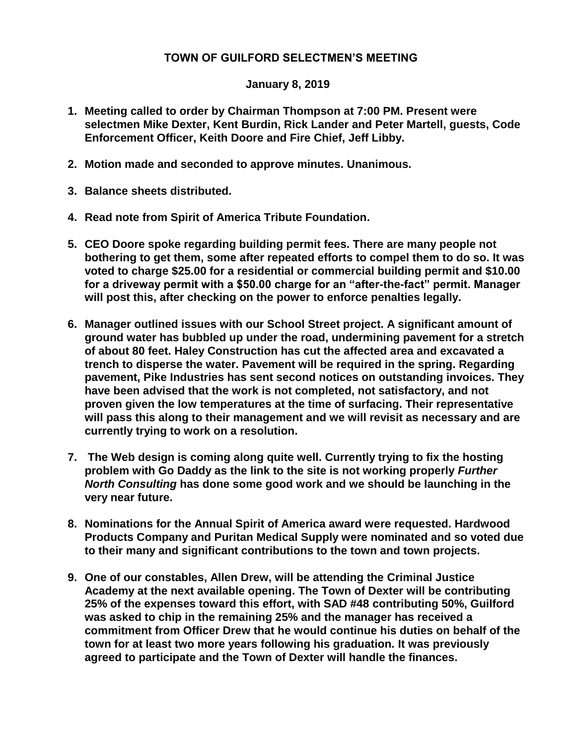## **TOWN OF GUILFORD SELECTMEN'S MEETING**

## **January 8, 2019**

- **1. Meeting called to order by Chairman Thompson at 7:00 PM. Present were selectmen Mike Dexter, Kent Burdin, Rick Lander and Peter Martell, guests, Code Enforcement Officer, Keith Doore and Fire Chief, Jeff Libby.**
- **2. Motion made and seconded to approve minutes. Unanimous.**
- **3. Balance sheets distributed.**
- **4. Read note from Spirit of America Tribute Foundation.**
- **5. CEO Doore spoke regarding building permit fees. There are many people not bothering to get them, some after repeated efforts to compel them to do so. It was voted to charge \$25.00 for a residential or commercial building permit and \$10.00 for a driveway permit with a \$50.00 charge for an "after-the-fact" permit. Manager will post this, after checking on the power to enforce penalties legally.**
- **6. Manager outlined issues with our School Street project. A significant amount of ground water has bubbled up under the road, undermining pavement for a stretch of about 80 feet. Haley Construction has cut the affected area and excavated a trench to disperse the water. Pavement will be required in the spring. Regarding pavement, Pike Industries has sent second notices on outstanding invoices. They have been advised that the work is not completed, not satisfactory, and not proven given the low temperatures at the time of surfacing. Their representative will pass this along to their management and we will revisit as necessary and are currently trying to work on a resolution.**
- **7. The Web design is coming along quite well. Currently trying to fix the hosting problem with Go Daddy as the link to the site is not working properly** *Further North Consulting* **has done some good work and we should be launching in the very near future.**
- **8. Nominations for the Annual Spirit of America award were requested. Hardwood Products Company and Puritan Medical Supply were nominated and so voted due to their many and significant contributions to the town and town projects.**
- **9. One of our constables, Allen Drew, will be attending the Criminal Justice Academy at the next available opening. The Town of Dexter will be contributing 25% of the expenses toward this effort, with SAD #48 contributing 50%, Guilford was asked to chip in the remaining 25% and the manager has received a commitment from Officer Drew that he would continue his duties on behalf of the town for at least two more years following his graduation. It was previously agreed to participate and the Town of Dexter will handle the finances.**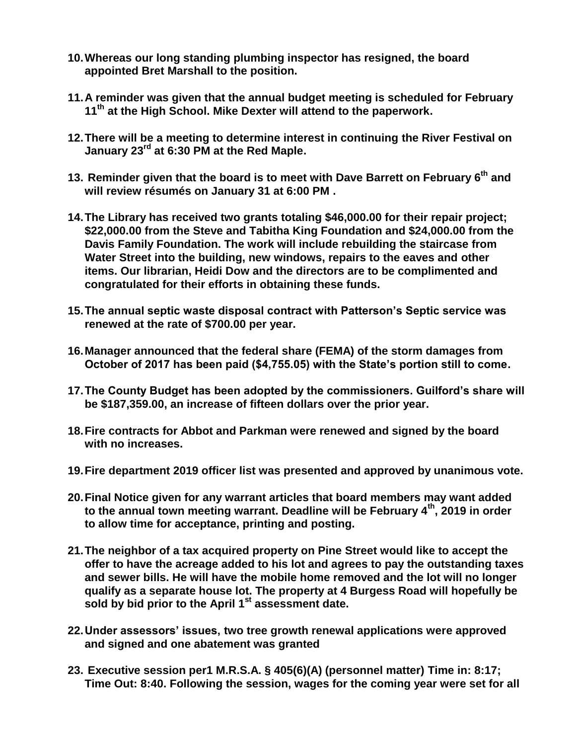- **10.Whereas our long standing plumbing inspector has resigned, the board appointed Bret Marshall to the position.**
- **11.A reminder was given that the annual budget meeting is scheduled for February 11th at the High School. Mike Dexter will attend to the paperwork.**
- **12.There will be a meeting to determine interest in continuing the River Festival on January 23rd at 6:30 PM at the Red Maple.**
- **13. Reminder given that the board is to meet with Dave Barrett on February 6th and will review résumés on January 31 at 6:00 PM .**
- **14.The Library has received two grants totaling \$46,000.00 for their repair project; \$22,000.00 from the Steve and Tabitha King Foundation and \$24,000.00 from the Davis Family Foundation. The work will include rebuilding the staircase from Water Street into the building, new windows, repairs to the eaves and other items. Our librarian, Heidi Dow and the directors are to be complimented and congratulated for their efforts in obtaining these funds.**
- **15.The annual septic waste disposal contract with Patterson's Septic service was renewed at the rate of \$700.00 per year.**
- **16.Manager announced that the federal share (FEMA) of the storm damages from October of 2017 has been paid (\$4,755.05) with the State's portion still to come.**
- **17.The County Budget has been adopted by the commissioners. Guilford's share will be \$187,359.00, an increase of fifteen dollars over the prior year.**
- **18.Fire contracts for Abbot and Parkman were renewed and signed by the board with no increases.**
- **19.Fire department 2019 officer list was presented and approved by unanimous vote.**
- **20.Final Notice given for any warrant articles that board members may want added to the annual town meeting warrant. Deadline will be February 4th, 2019 in order to allow time for acceptance, printing and posting.**
- **21.The neighbor of a tax acquired property on Pine Street would like to accept the offer to have the acreage added to his lot and agrees to pay the outstanding taxes and sewer bills. He will have the mobile home removed and the lot will no longer qualify as a separate house lot. The property at 4 Burgess Road will hopefully be sold by bid prior to the April 1st assessment date.**
- **22.Under assessors' issues, two tree growth renewal applications were approved and signed and one abatement was granted**
- **23. Executive session per1 M.R.S.A. § 405(6)(A) (personnel matter) Time in: 8:17; Time Out: 8:40. Following the session, wages for the coming year were set for all**